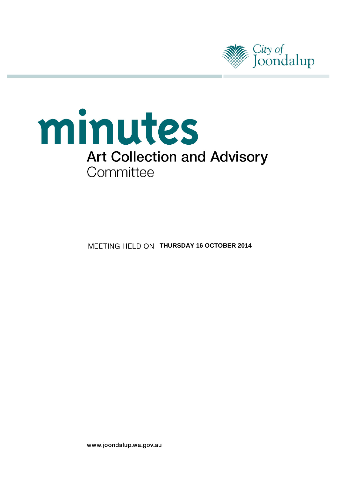

# minutes **Art Collection and Advisory** Committee

**MEETING HELD ON THURSDAY 16 OCTOBER 2014** 

www.joondalup.wa.gov.au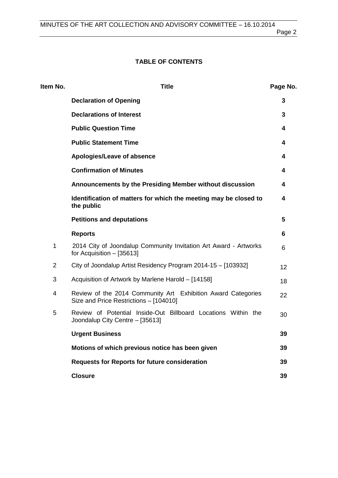# **TABLE OF CONTENTS**

| Item No.       | <b>Title</b>                                                                                           | Page No. |
|----------------|--------------------------------------------------------------------------------------------------------|----------|
|                | <b>Declaration of Opening</b>                                                                          | 3        |
|                | <b>Declarations of Interest</b>                                                                        | 3        |
|                | <b>Public Question Time</b>                                                                            | 4        |
|                | <b>Public Statement Time</b>                                                                           | 4        |
|                | Apologies/Leave of absence                                                                             | 4        |
|                | <b>Confirmation of Minutes</b>                                                                         | 4        |
|                | Announcements by the Presiding Member without discussion                                               | 4        |
|                | Identification of matters for which the meeting may be closed to<br>the public                         | 4        |
|                | <b>Petitions and deputations</b>                                                                       | 5        |
|                | <b>Reports</b>                                                                                         | 6        |
| 1              | 2014 City of Joondalup Community Invitation Art Award - Artworks<br>for Acquisition - [35613]          | 6        |
| $\overline{2}$ | City of Joondalup Artist Residency Program 2014-15 - [103932]                                          | 12       |
| 3              | Acquisition of Artwork by Marlene Harold - [14158]                                                     | 18       |
| 4              | Review of the 2014 Community Art Exhibition Award Categories<br>Size and Price Restrictions - [104010] | 22       |
| 5              | Review of Potential Inside-Out Billboard Locations Within the<br>Joondalup City Centre - [35613]       | 30       |
|                | <b>Urgent Business</b>                                                                                 | 39       |
|                | Motions of which previous notice has been given                                                        | 39       |
|                | <b>Requests for Reports for future consideration</b>                                                   | 39       |
|                | <b>Closure</b>                                                                                         | 39       |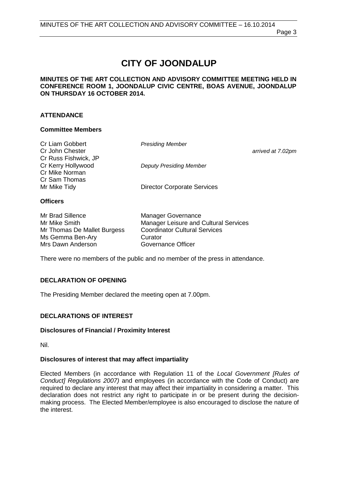Page 3

# **CITY OF JOONDALUP**

#### **MINUTES OF THE ART COLLECTION AND ADVISORY COMMITTEE MEETING HELD IN CONFERENCE ROOM 1, JOONDALUP CIVIC CENTRE, BOAS AVENUE, JOONDALUP ON THURSDAY 16 OCTOBER 2014.**

#### **ATTENDANCE**

#### **Committee Members**

| Cr Liam Gobbert      | <b>Presiding Member</b>            |                   |
|----------------------|------------------------------------|-------------------|
| Cr John Chester      |                                    | arrived at 7.02pm |
| Cr Russ Fishwick, JP |                                    |                   |
| Cr Kerry Hollywood   | <b>Deputy Presiding Member</b>     |                   |
| Cr Mike Norman       |                                    |                   |
| Cr Sam Thomas        |                                    |                   |
| Mr Mike Tidy         | <b>Director Corporate Services</b> |                   |
|                      |                                    |                   |

#### **Officers**

| Mr Brad Sillence            | <b>Manager Governance</b>                    |
|-----------------------------|----------------------------------------------|
| Mr Mike Smith               | <b>Manager Leisure and Cultural Services</b> |
| Mr Thomas De Mallet Burgess | <b>Coordinator Cultural Services</b>         |
| Ms Gemma Ben-Ary            | Curator                                      |
| Mrs Dawn Anderson           | Governance Officer                           |

There were no members of the public and no member of the press in attendance.

#### <span id="page-2-0"></span>**DECLARATION OF OPENING**

The Presiding Member declared the meeting open at 7.00pm.

#### <span id="page-2-1"></span>**DECLARATIONS OF INTEREST**

#### **Disclosures of Financial / Proximity Interest**

Nil.

#### **Disclosures of interest that may affect impartiality**

Elected Members (in accordance with Regulation 11 of the *Local Government [Rules of Conduct] Regulations 2007)* and employees (in accordance with the Code of Conduct) are required to declare any interest that may affect their impartiality in considering a matter. This declaration does not restrict any right to participate in or be present during the decisionmaking process. The Elected Member/employee is also encouraged to disclose the nature of the interest.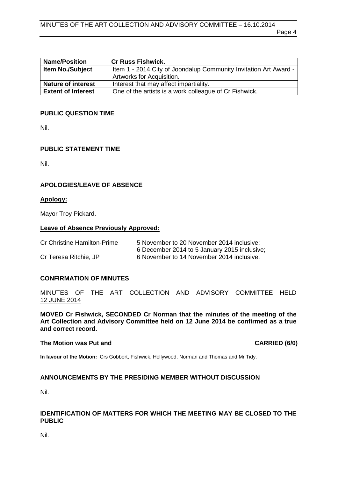| <b>Name/Position</b>      | <b>Cr Russ Fishwick.</b>                                         |
|---------------------------|------------------------------------------------------------------|
| <b>Item No./Subject</b>   | Item 1 - 2014 City of Joondalup Community Invitation Art Award - |
|                           | Artworks for Acquisition.                                        |
| <b>Nature of interest</b> | Interest that may affect impartiality.                           |
| <b>Extent of Interest</b> | One of the artists is a work colleague of Cr Fishwick.           |

#### <span id="page-3-0"></span>**PUBLIC QUESTION TIME**

Nil.

#### <span id="page-3-1"></span>**PUBLIC STATEMENT TIME**

Nil.

#### <span id="page-3-2"></span>**APOLOGIES/LEAVE OF ABSENCE**

#### **Apology:**

Mayor Troy Pickard.

#### **Leave of Absence Previously Approved:**

| Cr Christine Hamilton-Prime | 5 November to 20 November 2014 inclusive:    |
|-----------------------------|----------------------------------------------|
|                             | 6 December 2014 to 5 January 2015 inclusive; |
| Cr Teresa Ritchie, JP       | 6 November to 14 November 2014 inclusive.    |

#### <span id="page-3-3"></span>**CONFIRMATION OF MINUTES**

#### MINUTES OF THE ART COLLECTION AND ADVISORY COMMITTEE HELD 12 JUNE 2014

**MOVED Cr Fishwick, SECONDED Cr Norman that the minutes of the meeting of the Art Collection and Advisory Committee held on 12 June 2014 be confirmed as a true and correct record.**

#### **The Motion was Put and CARRIED (6/0)**

**In favour of the Motion:** Crs Gobbert, Fishwick, Hollywood, Norman and Thomas and Mr Tidy.

#### <span id="page-3-4"></span>**ANNOUNCEMENTS BY THE PRESIDING MEMBER WITHOUT DISCUSSION**

Nil.

#### <span id="page-3-5"></span>**IDENTIFICATION OF MATTERS FOR WHICH THE MEETING MAY BE CLOSED TO THE PUBLIC**

<span id="page-3-6"></span>Nil.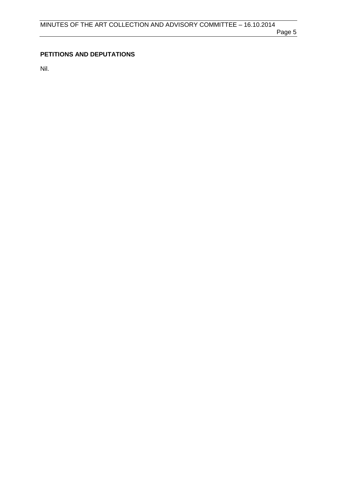# **PETITIONS AND DEPUTATIONS**

Nil.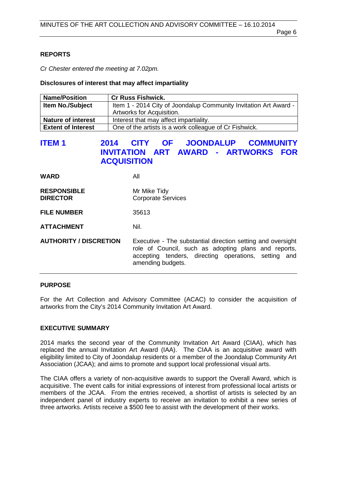#### <span id="page-5-0"></span>**REPORTS**

*Cr Chester entered the meeting at 7.02pm.*

#### **Disclosures of interest that may affect impartiality**

| <b>Name/Position</b>      | <b>Cr Russ Fishwick.</b>                                         |
|---------------------------|------------------------------------------------------------------|
| <b>Item No./Subject</b>   | Item 1 - 2014 City of Joondalup Community Invitation Art Award - |
|                           | Artworks for Acquisition.                                        |
| <b>Nature of interest</b> | Interest that may affect impartiality.                           |
| <b>Extent of Interest</b> | One of the artists is a work colleague of Cr Fishwick.           |

# <span id="page-5-1"></span>**ITEM 1 2014 CITY OF JOONDALUP COMMUNITY INVITATION ART AWARD - ARTWORKS FOR ACQUISITION**

| <b>WARD</b>                           | All                                                                                                                                                                                              |
|---------------------------------------|--------------------------------------------------------------------------------------------------------------------------------------------------------------------------------------------------|
| <b>RESPONSIBLE</b><br><b>DIRECTOR</b> | Mr Mike Tidy<br><b>Corporate Services</b>                                                                                                                                                        |
| <b>FILE NUMBER</b>                    | 35613                                                                                                                                                                                            |
| <b>ATTACHMENT</b>                     | Nil.                                                                                                                                                                                             |
| <b>AUTHORITY / DISCRETION</b>         | Executive - The substantial direction setting and oversight<br>role of Council, such as adopting plans and reports,<br>accepting tenders, directing operations, setting and<br>amending budgets. |

#### **PURPOSE**

For the Art Collection and Advisory Committee (ACAC) to consider the acquisition of artworks from the City's 2014 Community Invitation Art Award.

## **EXECUTIVE SUMMARY**

2014 marks the second year of the Community Invitation Art Award (CIAA), which has replaced the annual Invitation Art Award (IAA). The CIAA is an acquisitive award with eligibility limited to City of Joondalup residents or a member of the Joondalup Community Art Association (JCAA); and aims to promote and support local professional visual arts.

The CIAA offers a variety of non-acquisitive awards to support the Overall Award, which is acquisitive. The event calls for initial expressions of interest from professional local artists or members of the JCAA. From the entries received, a shortlist of artists is selected by an independent panel of industry experts to receive an invitation to exhibit a new series of three artworks. Artists receive a \$500 fee to assist with the development of their works.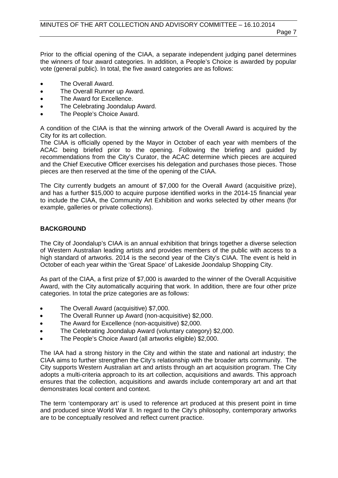Page 7

Prior to the official opening of the CIAA, a separate independent judging panel determines the winners of four award categories. In addition, a People's Choice is awarded by popular vote (general public). In total, the five award categories are as follows:

- The Overall Award.
- The Overall Runner up Award.
- The Award for Excellence.
- The Celebrating Joondalup Award.
- The People's Choice Award.

A condition of the CIAA is that the winning artwork of the Overall Award is acquired by the City for its art collection.

The CIAA is officially opened by the Mayor in October of each year with members of the ACAC being briefed prior to the opening. Following the briefing and guided by recommendations from the City's Curator, the ACAC determine which pieces are acquired and the Chief Executive Officer exercises his delegation and purchases those pieces. Those pieces are then reserved at the time of the opening of the CIAA.

The City currently budgets an amount of \$7,000 for the Overall Award (acquisitive prize), and has a further \$15,000 to acquire purpose identified works in the 2014-15 financial year to include the CIAA, the Community Art Exhibition and works selected by other means (for example, galleries or private collections).

#### **BACKGROUND**

The City of Joondalup's CIAA is an annual exhibition that brings together a diverse selection of Western Australian leading artists and provides members of the public with access to a high standard of artworks. 2014 is the second year of the City's CIAA. The event is held in October of each year within the 'Great Space' of Lakeside Joondalup Shopping City.

As part of the CIAA, a first prize of \$7,000 is awarded to the winner of the Overall Acquisitive Award, with the City automatically acquiring that work. In addition, there are four other prize categories. In total the prize categories are as follows:

- The Overall Award (acquisitive) \$7,000.
- The Overall Runner up Award (non-acquisitive) \$2,000.
- The Award for Excellence (non-acquisitive) \$2,000.
- The Celebrating Joondalup Award (voluntary category) \$2,000.
- The People's Choice Award (all artworks eligible) \$2,000.

The IAA had a strong history in the City and within the state and national art industry; the CIAA aims to further strengthen the City's relationship with the broader arts community. The City supports Western Australian art and artists through an art acquisition program. The City adopts a multi-criteria approach to its art collection, acquisitions and awards. This approach ensures that the collection, acquisitions and awards include contemporary art and art that demonstrates local content and context.

The term 'contemporary art' is used to reference art produced at this present point in time and produced since World War II. In regard to the City's philosophy, contemporary artworks are to be conceptually resolved and reflect current practice.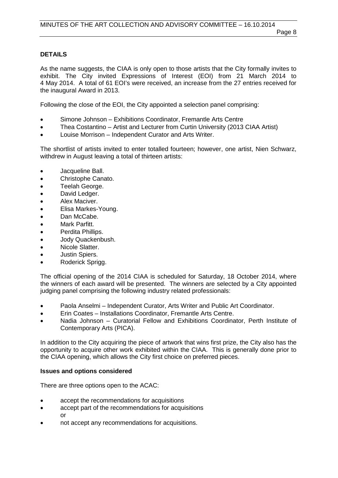#### **DETAILS**

As the name suggests, the CIAA is only open to those artists that the City formally invites to exhibit. The City invited Expressions of Interest (EOI) from 21 March 2014 to 4 May 2014. A total of 61 EOI's were received, an increase from the 27 entries received for the inaugural Award in 2013.

Following the close of the EOI, the City appointed a selection panel comprising:

- Simone Johnson Exhibitions Coordinator, Fremantle Arts Centre
- Thea Costantino Artist and Lecturer from Curtin University (2013 CIAA Artist)
- Louise Morrison Independent Curator and Arts Writer.

The shortlist of artists invited to enter totalled fourteen; however, one artist, Nien Schwarz, withdrew in August leaving a total of thirteen artists:

- Jacqueline Ball.
- Christophe Canato.
- Teelah George.
- David Ledger.
- Alex Maciver.
- Elisa Markes-Young.
- Dan McCabe.
- Mark Parfitt.
- Perdita Phillips.
- Jody Quackenbush.
- Nicole Slatter.
- Justin Spiers.
- Roderick Sprigg.

The official opening of the 2014 CIAA is scheduled for Saturday, 18 October 2014, where the winners of each award will be presented. The winners are selected by a City appointed judging panel comprising the following industry related professionals:

- Paola Anselmi Independent Curator, Arts Writer and Public Art Coordinator.
- Erin Coates Installations Coordinator, Fremantle Arts Centre.
- Nadia Johnson Curatorial Fellow and Exhibitions Coordinator, Perth Institute of Contemporary Arts (PICA).

In addition to the City acquiring the piece of artwork that wins first prize, the City also has the opportunity to acquire other work exhibited within the CIAA. This is generally done prior to the CIAA opening, which allows the City first choice on preferred pieces.

#### **Issues and options considered**

There are three options open to the ACAC:

- accept the recommendations for acquisitions
- accept part of the recommendations for acquisitions or
- not accept any recommendations for acquisitions.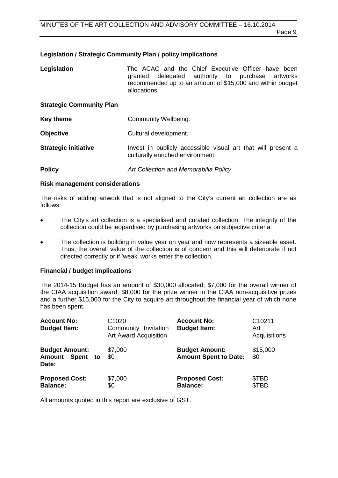# **Legislation / Strategic Community Plan / policy implications**

| Legislation                     | The ACAC and the Chief Executive Officer have been<br>delegated authority to purchase artworks<br>granted<br>recommended up to an amount of \$15,000 and within budget<br>allocations. |
|---------------------------------|----------------------------------------------------------------------------------------------------------------------------------------------------------------------------------------|
| <b>Strategic Community Plan</b> |                                                                                                                                                                                        |
| <b>Key theme</b>                | Community Wellbeing.                                                                                                                                                                   |
| <b>Objective</b>                | Cultural development.                                                                                                                                                                  |

**Strategic initiative Invest in publicly accessible visual art that will present a** culturally enriched environment.

**Policy** *Art Collection and Memorabilia Policy*.

## **Risk management considerations**

The risks of adding artwork that is not aligned to the City's current art collection are as follows:

- The City's art collection is a specialised and curated collection. The integrity of the collection could be jeopardised by purchasing artworks on subjective criteria.
- The collection is building in value year on year and now represents a sizeable asset. Thus, the overall value of the collection is of concern and this will deteriorate if not directed correctly or if 'weak' works enter the collection.

# **Financial / budget implications**

The 2014-15 Budget has an amount of \$30,000 allocated; \$7,000 for the overall winner of the CIAA acquisition award, \$8,000 for the prize winner in the CIAA non-acquisitive prizes and a further \$15,000 for the City to acquire art throughout the financial year of which none has been spent.

| <b>Account No:</b><br><b>Budget Item:</b>         | C <sub>1020</sub><br>Community<br>Invitation<br><b>Art Award Acquisition</b> | <b>Account No:</b><br><b>Budget Item:</b>             | C <sub>10211</sub><br>Art<br>Acquisitions |
|---------------------------------------------------|------------------------------------------------------------------------------|-------------------------------------------------------|-------------------------------------------|
| <b>Budget Amount:</b><br>Amount Spent to<br>Date: | \$7,000<br>\$0                                                               | <b>Budget Amount:</b><br><b>Amount Spent to Date:</b> | \$15,000<br>\$0                           |
| <b>Proposed Cost:</b><br><b>Balance:</b>          | \$7,000<br>\$0                                                               | <b>Proposed Cost:</b><br><b>Balance:</b>              | \$TBD<br>\$TBD                            |

All amounts quoted in this report are exclusive of GST.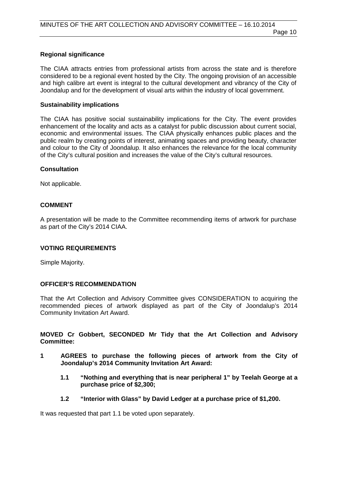#### **Regional significance**

The CIAA attracts entries from professional artists from across the state and is therefore considered to be a regional event hosted by the City. The ongoing provision of an accessible and high calibre art event is integral to the cultural development and vibrancy of the City of Joondalup and for the development of visual arts within the industry of local government.

#### **Sustainability implications**

The CIAA has positive social sustainability implications for the City. The event provides enhancement of the locality and acts as a catalyst for public discussion about current social, economic and environmental issues. The CIAA physically enhances public places and the public realm by creating points of interest, animating spaces and providing beauty, character and colour to the City of Joondalup. It also enhances the relevance for the local community of the City's cultural position and increases the value of the City's cultural resources.

#### **Consultation**

Not applicable.

#### **COMMENT**

A presentation will be made to the Committee recommending items of artwork for purchase as part of the City's 2014 CIAA.

#### **VOTING REQUIREMENTS**

Simple Majority.

#### **OFFICER'S RECOMMENDATION**

That the Art Collection and Advisory Committee gives CONSIDERATION to acquiring the recommended pieces of artwork displayed as part of the City of Joondalup's 2014 Community Invitation Art Award.

#### **MOVED Cr Gobbert, SECONDED Mr Tidy that the Art Collection and Advisory Committee:**

- **1 AGREES to purchase the following pieces of artwork from the City of Joondalup's 2014 Community Invitation Art Award:**
	- **1.1 "Nothing and everything that is near peripheral 1" by Teelah George at a purchase price of \$2,300;**
	- **1.2 "Interior with Glass" by David Ledger at a purchase price of \$1,200.**

It was requested that part 1.1 be voted upon separately.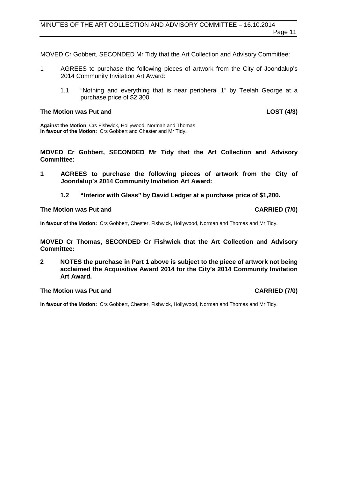MOVED Cr Gobbert, SECONDED Mr Tidy that the Art Collection and Advisory Committee:

- 1 AGREES to purchase the following pieces of artwork from the City of Joondalup's 2014 Community Invitation Art Award:
	- 1.1 "Nothing and everything that is near peripheral 1" by Teelah George at a purchase price of \$2,300.

#### **The Motion was Put and LOST (4/3)**

**Against the Motion**: Crs Fishwick, Hollywood, Norman and Thomas. **In favour of the Motion:** Crs Gobbert and Chester and Mr Tidy.

**MOVED Cr Gobbert, SECONDED Mr Tidy that the Art Collection and Advisory Committee:**

- **1 AGREES to purchase the following pieces of artwork from the City of Joondalup's 2014 Community Invitation Art Award:**
	- **1.2 "Interior with Glass" by David Ledger at a purchase price of \$1,200.**

#### **The Motion was Put and CARRIED (7/0)**

**In favour of the Motion:** Crs Gobbert, Chester, Fishwick, Hollywood, Norman and Thomas and Mr Tidy.

**MOVED Cr Thomas, SECONDED Cr Fishwick that the Art Collection and Advisory Committee:**

**2 NOTES the purchase in Part 1 above is subject to the piece of artwork not being acclaimed the Acquisitive Award 2014 for the City's 2014 Community Invitation Art Award.**

#### **The Motion was Put and CARRIED (7/0)**

**In favour of the Motion:** Crs Gobbert, Chester, Fishwick, Hollywood, Norman and Thomas and Mr Tidy.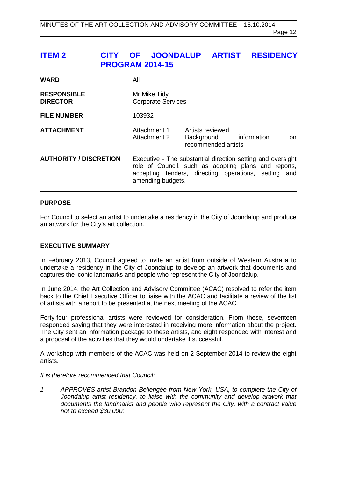# <span id="page-11-0"></span>**ITEM 2 CITY OF JOONDALUP ARTIST RESIDENCY PROGRAM 2014-15**

| <b>WARD</b>                           | All                                                                                                                                                                                              |                                                       |                    |
|---------------------------------------|--------------------------------------------------------------------------------------------------------------------------------------------------------------------------------------------------|-------------------------------------------------------|--------------------|
| <b>RESPONSIBLE</b><br><b>DIRECTOR</b> | Mr Mike Tidy<br><b>Corporate Services</b>                                                                                                                                                        |                                                       |                    |
| <b>FILE NUMBER</b>                    | 103932                                                                                                                                                                                           |                                                       |                    |
| <b>ATTACHMENT</b>                     | Attachment 1<br>Attachment 2                                                                                                                                                                     | Artists reviewed<br>Background<br>recommended artists | information<br>on. |
| <b>AUTHORITY / DISCRETION</b>         | Executive - The substantial direction setting and oversight<br>role of Council, such as adopting plans and reports,<br>accepting tenders, directing operations, setting and<br>amending budgets. |                                                       |                    |

#### **PURPOSE**

For Council to select an artist to undertake a residency in the City of Joondalup and produce an artwork for the City's art collection.

#### **EXECUTIVE SUMMARY**

In February 2013, Council agreed to invite an artist from outside of Western Australia to undertake a residency in the City of Joondalup to develop an artwork that documents and captures the iconic landmarks and people who represent the City of Joondalup.

In June 2014, the Art Collection and Advisory Committee (ACAC) resolved to refer the item back to the Chief Executive Officer to liaise with the ACAC and facilitate a review of the list of artists with a report to be presented at the next meeting of the ACAC.

Forty-four professional artists were reviewed for consideration. From these, seventeen responded saying that they were interested in receiving more information about the project. The City sent an information package to these artists, and eight responded with interest and a proposal of the activities that they would undertake if successful.

A workshop with members of the ACAC was held on 2 September 2014 to review the eight artists.

#### *It is therefore recommended that Council:*

*1 APPROVES artist Brandon Bellengée from New York, USA, to complete the City of Joondalup artist residency, to liaise with the community and develop artwork that documents the landmarks and people who represent the City, with a contract value not to exceed \$30,000;*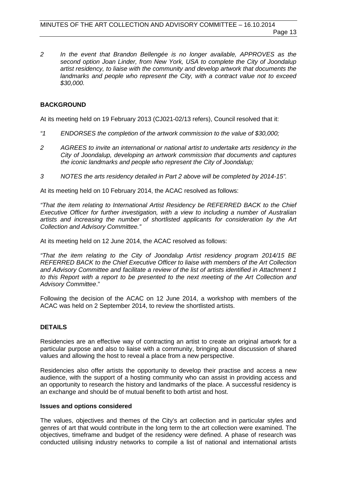*2 In the event that Brandon Bellengée is no longer available, APPROVES as the second option Joan Linder, from New York, USA to complete the City of Joondalup artist residency, to liaise with the community and develop artwork that documents the landmarks and people who represent the City, with a contract value not to exceed \$30,000.*

#### **BACKGROUND**

At its meeting held on 19 February 2013 (CJ021-02/13 refers), Council resolved that it:

- *"1 ENDORSES the completion of the artwork commission to the value of \$30,000;*
- *2 AGREES to invite an international or national artist to undertake arts residency in the City of Joondalup, developing an artwork commission that documents and captures the iconic landmarks and people who represent the City of Joondalup;*
- *3 NOTES the arts residency detailed in Part 2 above will be completed by 2014-15".*

At its meeting held on 10 February 2014, the ACAC resolved as follows:

*"That the item relating to International Artist Residency be REFERRED BACK to the Chief Executive Officer for further investigation, with a view to including a number of Australian artists and increasing the number of shortlisted applicants for consideration by the Art Collection and Advisory Committee."*

At its meeting held on 12 June 2014, the ACAC resolved as follows:

*"That the item relating to the City of Joondalup Artist residency program 2014/15 BE REFERRED BACK to the Chief Executive Officer to liaise with members of the Art Collection and Advisory Committee and facilitate a review of the list of artists identified in Attachment 1 to this Report with a report to be presented to the next meeting of the Art Collection and Advisory Committee*."

Following the decision of the ACAC on 12 June 2014, a workshop with members of the ACAC was held on 2 September 2014, to review the shortlisted artists.

#### **DETAILS**

Residencies are an effective way of contracting an artist to create an original artwork for a particular purpose and also to liaise with a community, bringing about discussion of shared values and allowing the host to reveal a place from a new perspective.

Residencies also offer artists the opportunity to develop their practise and access a new audience, with the support of a hosting community who can assist in providing access and an opportunity to research the history and landmarks of the place. A successful residency is an exchange and should be of mutual benefit to both artist and host.

#### **Issues and options considered**

The values, objectives and themes of the City's art collection and in particular styles and genres of art that would contribute in the long term to the art collection were examined. The objectives, timeframe and budget of the residency were defined. A phase of research was conducted utilising industry networks to compile a list of national and international artists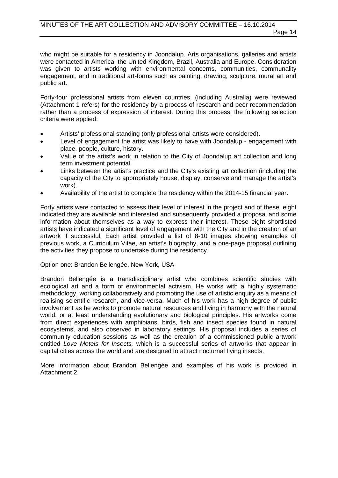who might be suitable for a residency in Joondalup. Arts organisations, galleries and artists were contacted in America, the United Kingdom, Brazil, Australia and Europe. Consideration was given to artists working with environmental concerns, communities, communality engagement, and in traditional art-forms such as painting, drawing, sculpture, mural art and public art.

Forty-four professional artists from eleven countries, (including Australia) were reviewed (Attachment 1 refers) for the residency by a process of research and peer recommendation rather than a process of expression of interest. During this process, the following selection criteria were applied:

- Artists' professional standing (only professional artists were considered).
- Level of engagement the artist was likely to have with Joondalup engagement with place, people, culture, history.
- Value of the artist's work in relation to the City of Joondalup art collection and long term investment potential.
- Links between the artist's practice and the City's existing art collection (including the capacity of the City to appropriately house, display, conserve and manage the artist's work).
- Availability of the artist to complete the residency within the 2014-15 financial year.

Forty artists were contacted to assess their level of interest in the project and of these, eight indicated they are available and interested and subsequently provided a proposal and some information about themselves as a way to express their interest. These eight shortlisted artists have indicated a significant level of engagement with the City and in the creation of an artwork if successful. Each artist provided a list of 8-10 images showing examples of previous work, a Curriculum Vitae, an artist's biography, and a one-page proposal outlining the activities they propose to undertake during the residency.

#### Option one: Brandon Bellengée, New York, USA

Brandon Bellengée is a transdisciplinary artist who combines scientific studies with ecological art and a form of environmental activism. He works with a highly systematic methodology, working collaboratively and promoting the use of artistic enquiry as a means of realising scientific research, and vice-versa. Much of his work has a high degree of public involvement as he works to promote natural resources and living in harmony with the natural world, or at least understanding evolutionary and biological principles. His artworks come from direct experiences with amphibians, birds, fish and insect species found in natural ecosystems, and also observed in laboratory settings. His proposal includes a series of community education sessions as well as the creation of a commissioned public artwork entitled *Love Motels for Insects,* which is a successful series of artworks that appear in capital cities across the world and are designed to attract nocturnal flying insects.

More information about Brandon Bellengée and examples of his work is provided in Attachment 2.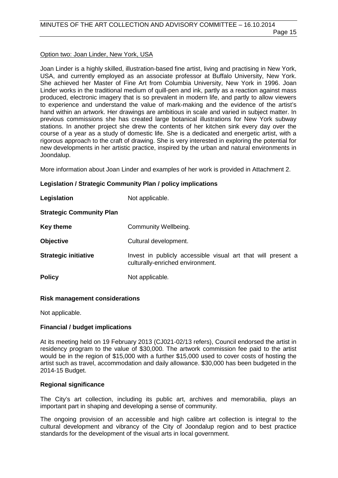#### Option two: Joan Linder, New York, USA

Joan Linder is a highly skilled, illustration-based fine artist, living and practising in New York, USA, and currently employed as an associate professor at Buffalo University, New York. She achieved her Master of Fine Art from Columbia University, New York in 1996. Joan Linder works in the traditional medium of quill-pen and ink, partly as a reaction against mass produced, electronic imagery that is so prevalent in modern life, and partly to allow viewers to experience and understand the value of mark-making and the evidence of the artist's hand within an artwork. Her drawings are ambitious in scale and varied in subject matter. In previous commissions she has created large botanical illustrations for New York subway stations. In another project she drew the contents of her kitchen sink every day over the course of a year as a study of domestic life. She is a dedicated and energetic artist, with a rigorous approach to the craft of drawing. She is very interested in exploring the potential for new developments in her artistic practice, inspired by the urban and natural environments in Joondalup.

More information about Joan Linder and examples of her work is provided in Attachment 2.

#### **Legislation / Strategic Community Plan / policy implications**

| Legislation                     | Not applicable.                                                                                  |
|---------------------------------|--------------------------------------------------------------------------------------------------|
| <b>Strategic Community Plan</b> |                                                                                                  |
| Key theme                       | Community Wellbeing.                                                                             |
| <b>Objective</b>                | Cultural development.                                                                            |
| <b>Strategic initiative</b>     | Invest in publicly accessible visual art that will present a<br>culturally-enriched environment. |
| <b>Policy</b>                   | Not applicable.                                                                                  |

#### **Risk management considerations**

Not applicable.

#### **Financial / budget implications**

At its meeting held on 19 February 2013 (CJ021-02/13 refers), Council endorsed the artist in residency program to the value of \$30,000. The artwork commission fee paid to the artist would be in the region of \$15,000 with a further \$15,000 used to cover costs of hosting the artist such as travel, accommodation and daily allowance. \$30,000 has been budgeted in the 2014-15 Budget.

#### **Regional significance**

The City's art collection, including its public art, archives and memorabilia, plays an important part in shaping and developing a sense of community.

The ongoing provision of an accessible and high calibre art collection is integral to the cultural development and vibrancy of the City of Joondalup region and to best practice standards for the development of the visual arts in local government.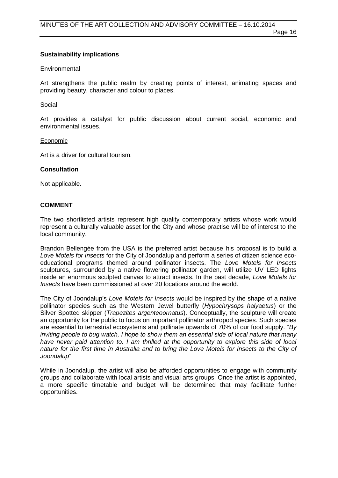#### **Sustainability implications**

#### Environmental

Art strengthens the public realm by creating points of interest, animating spaces and providing beauty, character and colour to places.

#### Social

Art provides a catalyst for public discussion about current social, economic and environmental issues.

#### Economic

Art is a driver for cultural tourism.

#### **Consultation**

Not applicable.

#### **COMMENT**

The two shortlisted artists represent high quality contemporary artists whose work would represent a culturally valuable asset for the City and whose practise will be of interest to the local community.

Brandon Bellengée from the USA is the preferred artist because his proposal is to build a *Love Motels for Insects* for the City of Joondalup and perform a series of citizen science ecoeducational programs themed around pollinator insects. The *Love Motels for Insects*  sculptures, surrounded by a native flowering pollinator garden, will utilize UV LED lights inside an enormous sculpted canvas to attract insects. In the past decade, *Love Motels for Insects* have been commissioned at over 20 locations around the world.

The City of Joondalup's *Love Motels for Insects* would be inspired by the shape of a native pollinator species such as the Western Jewel butterfly (*Hypochrysops halyaetus*) or the Silver Spotted skipper (*Trapezites argenteoornatus*). Conceptually, the sculpture will create an opportunity for the public to focus on important pollinator arthropod species. Such species are essential to terrestrial ecosystems and pollinate upwards of 70% of our food supply. "*By inviting people to bug watch, I hope to show them an essential side of local nature that many have never paid attention to. I am thrilled at the opportunity to explore this side of local nature for the first time in Australia and to bring the Love Motels for Insects to the City of Joondalup*".

While in Joondalup, the artist will also be afforded opportunities to engage with community groups and collaborate with local artists and visual arts groups. Once the artist is appointed, a more specific timetable and budget will be determined that may facilitate further opportunities.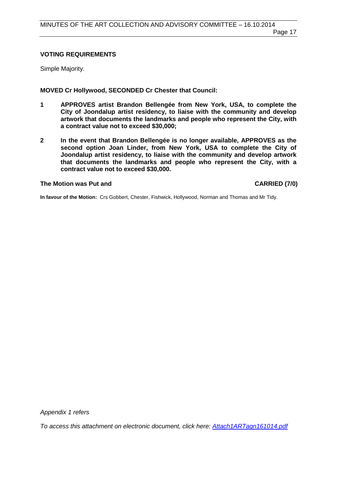#### **VOTING REQUIREMENTS**

Simple Majority.

**MOVED Cr Hollywood, SECONDED Cr Chester that Council:**

- **1 APPROVES artist Brandon Bellengée from New York, USA, to complete the City of Joondalup artist residency, to liaise with the community and develop artwork that documents the landmarks and people who represent the City, with a contract value not to exceed \$30,000;**
- **2 In the event that Brandon Bellengée is no longer available, APPROVES as the second option Joan Linder, from New York, USA to complete the City of Joondalup artist residency, to liaise with the community and develop artwork that documents the landmarks and people who represent the City, with a contract value not to exceed \$30,000.**

#### **The Motion was Put and CARRIED (7/0)**

**In favour of the Motion:** Crs Gobbert, Chester, Fishwick, Hollywood, Norman and Thomas and Mr Tidy.

*Appendix 1 refers*

<span id="page-16-0"></span>*[To access this attachment on electronic document, click here: Attach1ARTagn161014.pdf](http://www.joondalup.wa.gov.au/files/committees/ACAC/2014/Attach1ARTagn161014.pdf)*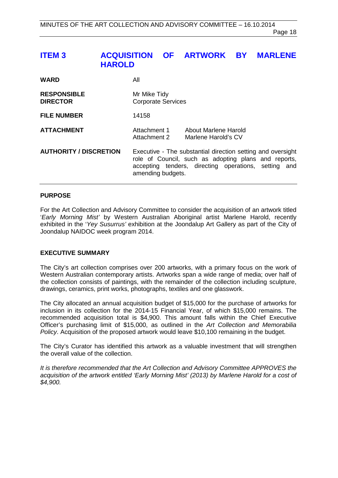# **ITEM 3 ACQUISITION OF ARTWORK BY MARLENE HAROLD**

| <b>WARD</b>                           | Αll                                                                                                                                                                                              |                                             |
|---------------------------------------|--------------------------------------------------------------------------------------------------------------------------------------------------------------------------------------------------|---------------------------------------------|
| <b>RESPONSIBLE</b><br><b>DIRECTOR</b> | Mr Mike Tidy<br><b>Corporate Services</b>                                                                                                                                                        |                                             |
| <b>FILE NUMBER</b>                    | 14158                                                                                                                                                                                            |                                             |
| <b>ATTACHMENT</b>                     | Attachment 1<br>Attachment 2                                                                                                                                                                     | About Marlene Harold<br>Marlene Harold's CV |
| <b>AUTHORITY / DISCRETION</b>         | Executive - The substantial direction setting and oversight<br>role of Council, such as adopting plans and reports,<br>accepting tenders, directing operations, setting and<br>amending budgets. |                                             |

#### **PURPOSE**

For the Art Collection and Advisory Committee to consider the acquisition of an artwork titled '*Early Morning Mist'* by Western Australian Aboriginal artist Marlene Harold, recently exhibited in the '*Yey Susurrus'* exhibition at the Joondalup Art Gallery as part of the City of Joondalup NAIDOC week program 2014.

#### **EXECUTIVE SUMMARY**

The City's art collection comprises over 200 artworks, with a primary focus on the work of Western Australian contemporary artists. Artworks span a wide range of media; over half of the collection consists of paintings, with the remainder of the collection including sculpture, drawings, ceramics, print works, photographs, textiles and one glasswork.

The City allocated an annual acquisition budget of \$15,000 for the purchase of artworks for inclusion in its collection for the 2014-15 Financial Year, of which \$15,000 remains. The recommended acquisition total is \$4,900. This amount falls within the Chief Executive Officer's purchasing limit of \$15,000, as outlined in the *Art Collection and Memorabilia Policy*. Acquisition of the proposed artwork would leave \$10,100 remaining in the budget.

The City's Curator has identified this artwork as a valuable investment that will strengthen the overall value of the collection.

*It is therefore recommended that the Art Collection and Advisory Committee APPROVES the acquisition of the artwork entitled 'Early Morning Mist' (2013) by Marlene Harold for a cost of \$4,900.*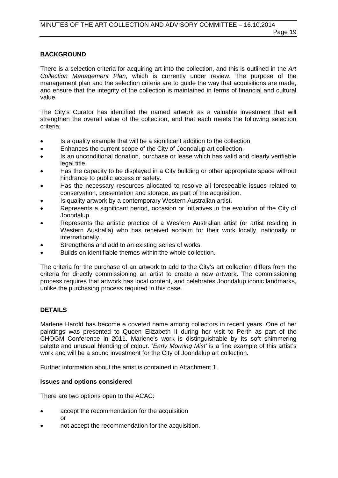#### **BACKGROUND**

There is a selection criteria for acquiring art into the collection, and this is outlined in the *Art Collection Management Plan*, which is currently under review. The purpose of the management plan and the selection criteria are to guide the way that acquisitions are made, and ensure that the integrity of the collection is maintained in terms of financial and cultural value.

The City's Curator has identified the named artwork as a valuable investment that will strengthen the overall value of the collection, and that each meets the following selection criteria:

- Is a quality example that will be a significant addition to the collection.
- Enhances the current scope of the City of Joondalup art collection.
- Is an unconditional donation, purchase or lease which has valid and clearly verifiable legal title.
- Has the capacity to be displayed in a City building or other appropriate space without hindrance to public access or safety.
- Has the necessary resources allocated to resolve all foreseeable issues related to conservation, presentation and storage, as part of the acquisition.
- Is quality artwork by a contemporary Western Australian artist.
- Represents a significant period, occasion or initiatives in the evolution of the City of Joondalup.
- Represents the artistic practice of a Western Australian artist (or artist residing in Western Australia) who has received acclaim for their work locally, nationally or internationally.
- Strengthens and add to an existing series of works.
- Builds on identifiable themes within the whole collection.

The criteria for the purchase of an artwork to add to the City's art collection differs from the criteria for directly commissioning an artist to create a new artwork. The commissioning process requires that artwork has local content, and celebrates Joondalup iconic landmarks, unlike the purchasing process required in this case.

#### **DETAILS**

Marlene Harold has become a coveted name among collectors in recent years. One of her paintings was presented to Queen Elizabeth II during her visit to Perth as part of the CHOGM Conference in 2011. Marlene's work is distinguishable by its soft shimmering palette and unusual blending of colour. '*Early Morning Mist'* is a fine example of this artist's work and will be a sound investment for the City of Joondalup art collection.

Further information about the artist is contained in Attachment 1.

#### **Issues and options considered**

There are two options open to the ACAC:

- accept the recommendation for the acquisition or
- not accept the recommendation for the acquisition.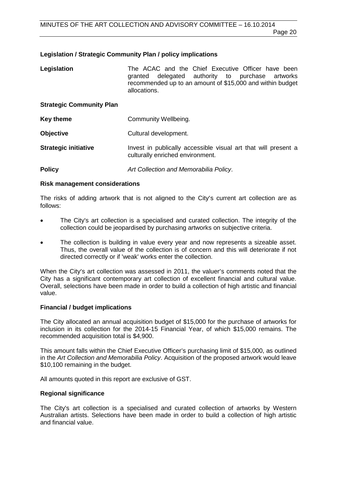#### **Legislation / Strategic Community Plan / policy implications**

| Legislation                     | The ACAC and the Chief Executive Officer have been<br>delegated authority to purchase artworks<br>granted<br>recommended up to an amount of \$15,000 and within budget<br>allocations. |
|---------------------------------|----------------------------------------------------------------------------------------------------------------------------------------------------------------------------------------|
| <b>Strategic Community Plan</b> |                                                                                                                                                                                        |
| <b>Key theme</b>                | Community Wellbeing.                                                                                                                                                                   |
| <b>Objective</b>                | Cultural development.                                                                                                                                                                  |
| <b>Strategic initiative</b>     | Invest in publically accessible visual art that will present a<br>culturally enriched environment.                                                                                     |

**Policy** *Art Collection and Memorabilia Policy*.

#### **Risk management considerations**

The risks of adding artwork that is not aligned to the City's current art collection are as follows:

- The City's art collection is a specialised and curated collection. The integrity of the collection could be jeopardised by purchasing artworks on subjective criteria.
- The collection is building in value every year and now represents a sizeable asset. Thus, the overall value of the collection is of concern and this will deteriorate if not directed correctly or if 'weak' works enter the collection.

When the City's art collection was assessed in 2011, the valuer's comments noted that the City has a significant contemporary art collection of excellent financial and cultural value. Overall, selections have been made in order to build a collection of high artistic and financial value.

#### **Financial / budget implications**

The City allocated an annual acquisition budget of \$15,000 for the purchase of artworks for inclusion in its collection for the 2014-15 Financial Year, of which \$15,000 remains. The recommended acquisition total is \$4,900.

This amount falls within the Chief Executive Officer's purchasing limit of \$15,000, as outlined in the *Art Collection and Memorabilia Policy*. Acquisition of the proposed artwork would leave \$10,100 remaining in the budget.

All amounts quoted in this report are exclusive of GST.

#### **Regional significance**

The City's art collection is a specialised and curated collection of artworks by Western Australian artists. Selections have been made in order to build a collection of high artistic and financial value.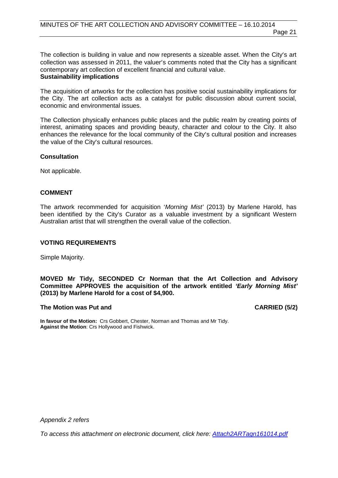The collection is building in value and now represents a sizeable asset. When the City's art collection was assessed in 2011, the valuer's comments noted that the City has a significant contemporary art collection of excellent financial and cultural value. **Sustainability implications**

#### The acquisition of artworks for the collection has positive social sustainability implications for the City. The art collection acts as a catalyst for public discussion about current social, economic and environmental issues.

The Collection physically enhances public places and the public realm by creating points of interest, animating spaces and providing beauty, character and colour to the City. It also enhances the relevance for the local community of the City's cultural position and increases the value of the City's cultural resources.

#### **Consultation**

Not applicable.

#### **COMMENT**

The artwork recommended for acquisition '*Morning Mist'* (2013) by Marlene Harold, has been identified by the City's Curator as a valuable investment by a significant Western Australian artist that will strengthen the overall value of the collection.

#### **VOTING REQUIREMENTS**

Simple Majority.

#### **MOVED Mr Tidy, SECONDED Cr Norman that the Art Collection and Advisory Committee APPROVES the acquisition of the artwork entitled** *'Early Morning Mist'*  **(2013) by Marlene Harold for a cost of \$4,900.**

#### **The Motion was Put and CARRIED (5/2)**

**In favour of the Motion:** Crs Gobbert, Chester, Norman and Thomas and Mr Tidy. **Against the Motion**: Crs Hollywood and Fishwick.

*Appendix 2 refers*

*[To access this attachment on electronic document, click here: Attach2ARTagn161014.pdf](http://www.joondalup.wa.gov.au/files/committees/ACAC/2014/Attach2ARTagn161014.pdf)*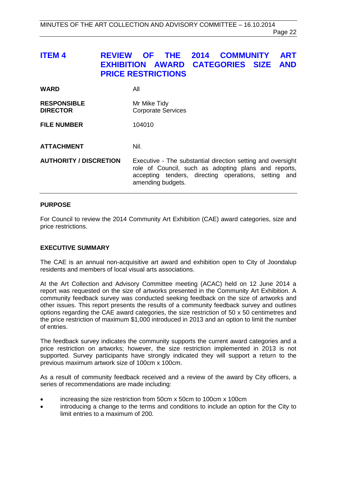<span id="page-21-0"></span>

| <b>ITEM 4</b>                         | OF THE<br><b>REVIEW</b><br><b>EXHIBITION AWARD CATEGORIES SIZE</b><br><b>PRICE RESTRICTIONS</b> | 2014<br><b>COMMUNITY</b> | <b>ART</b><br><b>AND</b> |
|---------------------------------------|-------------------------------------------------------------------------------------------------|--------------------------|--------------------------|
| <b>WARD</b>                           | All                                                                                             |                          |                          |
| <b>RESPONSIBLE</b><br><b>DIRECTOR</b> | Mr Mike Tidy<br><b>Corporate Services</b>                                                       |                          |                          |
| <b>FILE NUMBER</b>                    | 104010                                                                                          |                          |                          |
| <b>ATTACHMENT</b>                     | Nil.                                                                                            |                          |                          |

**AUTHORITY / DISCRETION** Executive - The substantial direction setting and oversight role of Council, such as adopting plans and reports, accepting tenders, directing operations, setting and amending budgets.

#### **PURPOSE**

For Council to review the 2014 Community Art Exhibition (CAE) award categories, size and price restrictions.

#### **EXECUTIVE SUMMARY**

The CAE is an annual non-acquisitive art award and exhibition open to City of Joondalup residents and members of local visual arts associations.

At the Art Collection and Advisory Committee meeting (ACAC) held on 12 June 2014 a report was requested on the size of artworks presented in the Community Art Exhibition. A community feedback survey was conducted seeking feedback on the size of artworks and other issues. This report presents the results of a community feedback survey and outlines options regarding the CAE award categories, the size restriction of 50 x 50 centimetres and the price restriction of maximum \$1,000 introduced in 2013 and an option to limit the number of entries.

The feedback survey indicates the community supports the current award categories and a price restriction on artworks; however, the size restriction implemented in 2013 is not supported. Survey participants have strongly indicated they will support a return to the previous maximum artwork size of 100cm x 100cm.

As a result of community feedback received and a review of the award by City officers, a series of recommendations are made including:

- increasing the size restriction from 50cm x 50cm to 100cm x 100cm
- introducing a change to the terms and conditions to include an option for the City to limit entries to a maximum of 200.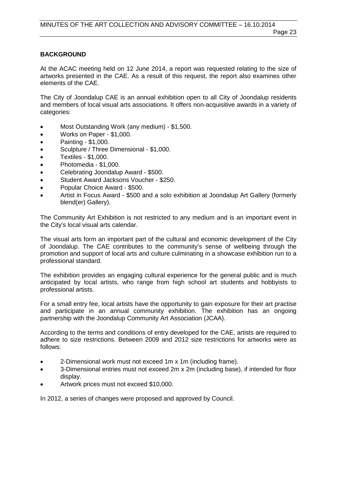#### **BACKGROUND**

At the ACAC meeting held on 12 June 2014, a report was requested relating to the size of artworks presented in the CAE. As a result of this request, the report also examines other elements of the CAE.

The City of Joondalup CAE is an annual exhibition open to all City of Joondalup residents and members of local visual arts associations. It offers non-acquisitive awards in a variety of categories:

- Most Outstanding Work (any medium) \$1,500.
- Works on Paper \$1,000.
- Painting \$1,000.
- Sculpture / Three Dimensional \$1,000.
- Textiles \$1,000.
- Photomedia \$1,000.
- Celebrating Joondalup Award \$500.
- Student Award Jacksons Voucher \$250.
- Popular Choice Award \$500.
- Artist in Focus Award \$500 and a solo exhibition at Joondalup Art Gallery (formerly blend(er) Gallery).

The Community Art Exhibition is not restricted to any medium and is an important event in the City's local visual arts calendar.

The visual arts form an important part of the cultural and economic development of the City of Joondalup. The CAE contributes to the community's sense of wellbeing through the promotion and support of local arts and culture culminating in a showcase exhibition run to a professional standard.

The exhibition provides an engaging cultural experience for the general public and is much anticipated by local artists, who range from high school art students and hobbyists to professional artists.

For a small entry fee, local artists have the opportunity to gain exposure for their art practise and participate in an annual community exhibition. The exhibition has an ongoing partnership with the Joondalup Community Art Association (JCAA).

According to the terms and conditions of entry developed for the CAE, artists are required to adhere to size restrictions. Between 2009 and 2012 size restrictions for artworks were as follows:

- 2-Dimensional work must not exceed 1m x 1m (including frame).
- 3-Dimensional entries must not exceed 2m x 2m (including base), if intended for floor display.
- Artwork prices must not exceed \$10,000.

In 2012, a series of changes were proposed and approved by Council.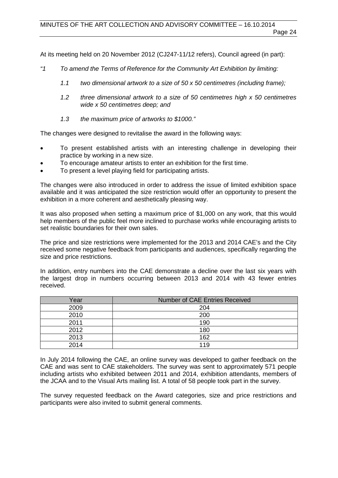Page 24

At its meeting held on 20 November 2012 (CJ247-11/12 refers), Council agreed (in part):

- *"1 To amend the Terms of Reference for the Community Art Exhibition by limiting:* 
	- *1.1 two dimensional artwork to a size of 50 x 50 centimetres (including frame);*
	- *1.2 three dimensional artwork to a size of 50 centimetres high x 50 centimetres wide x 50 centimetres deep; and*
	- *1.3 the maximum price of artworks to \$1000."*

The changes were designed to revitalise the award in the following ways:

- To present established artists with an interesting challenge in developing their practice by working in a new size.
- To encourage amateur artists to enter an exhibition for the first time.
- To present a level playing field for participating artists.

The changes were also introduced in order to address the issue of limited exhibition space available and it was anticipated the size restriction would offer an opportunity to present the exhibition in a more coherent and aesthetically pleasing way.

It was also proposed when setting a maximum price of \$1,000 on any work, that this would help members of the public feel more inclined to purchase works while encouraging artists to set realistic boundaries for their own sales.

The price and size restrictions were implemented for the 2013 and 2014 CAE's and the City received some negative feedback from participants and audiences, specifically regarding the size and price restrictions.

In addition, entry numbers into the CAE demonstrate a decline over the last six years with the largest drop in numbers occurring between 2013 and 2014 with 43 fewer entries received.

| Year | <b>Number of CAE Entries Received</b> |
|------|---------------------------------------|
| 2009 | 204                                   |
| 2010 | 200                                   |
| 2011 | 190                                   |
| 2012 | 180                                   |
| 2013 | 162                                   |
| 2014 | 119                                   |
|      |                                       |

In July 2014 following the CAE, an online survey was developed to gather feedback on the CAE and was sent to CAE stakeholders. The survey was sent to approximately 571 people including artists who exhibited between 2011 and 2014, exhibition attendants, members of the JCAA and to the Visual Arts mailing list. A total of 58 people took part in the survey.

The survey requested feedback on the Award categories, size and price restrictions and participants were also invited to submit general comments.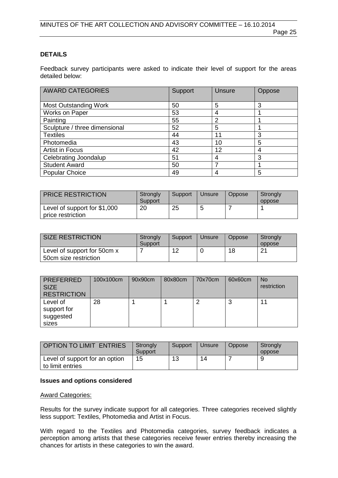#### **DETAILS**

Feedback survey participants were asked to indicate their level of support for the areas detailed below:

| <b>AWARD CATEGORIES</b>       | Support | <b>Unsure</b> | Oppose |
|-------------------------------|---------|---------------|--------|
| <b>Most Outstanding Work</b>  | 50      | 5             | 3      |
| Works on Paper                | 53      |               |        |
| Painting                      | 55      | າ             |        |
| Sculpture / three dimensional | 52      | 5             |        |
| <b>Textiles</b>               | 44      | 11            | 3      |
| Photomedia                    | 43      | 10            | 5      |
| Artist in Focus               | 42      | 12            | 4      |
| Celebrating Joondalup         | 51      |               | 3      |
| <b>Student Award</b>          | 50      |               |        |
| <b>Popular Choice</b>         | 49      |               | 5      |

| <b>PRICE RESTRICTION</b>                          | Strongly<br>Support | Support | Unsure | Oppose | Strongly<br>oppose |
|---------------------------------------------------|---------------------|---------|--------|--------|--------------------|
| Level of support for \$1,000<br>price restriction | 20                  | 25      | ᄃ      |        |                    |

| SIZE RESTRICTION                                     | Strongly<br>Support | Support | Unsure | Oppose | Strongly<br>oppose |
|------------------------------------------------------|---------------------|---------|--------|--------|--------------------|
| Level of support for 50cm x<br>50cm size restriction |                     | 12      |        | 18     | O4                 |

| <b>PREFERRED</b><br><b>SIZE</b><br><b>RESTRICTION</b> | 100x100cm | 90x90cm | 80x80cm | 70x70cm | 60x60cm | <b>No</b><br>restriction |
|-------------------------------------------------------|-----------|---------|---------|---------|---------|--------------------------|
| Level of<br>support for<br>suggested<br>sizes         | 28        |         |         | ◠       | w       |                          |

| <b>OPTION TO LIMIT ENTRIES</b>                     | Strongly<br>Support | Support | Unsure | Oppose | Strongly<br>oppose |
|----------------------------------------------------|---------------------|---------|--------|--------|--------------------|
| Level of support for an option<br>to limit entries | 15                  | 13      | 14     |        |                    |

#### **Issues and options considered**

#### **Award Categories:**

Results for the survey indicate support for all categories. Three categories received slightly less support: Textiles, Photomedia and Artist in Focus.

With regard to the Textiles and Photomedia categories, survey feedback indicates a perception among artists that these categories receive fewer entries thereby increasing the chances for artists in these categories to win the award.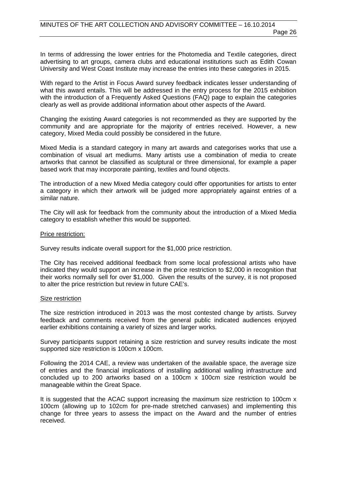In terms of addressing the lower entries for the Photomedia and Textile categories, direct advertising to art groups, camera clubs and educational institutions such as Edith Cowan University and West Coast Institute may increase the entries into these categories in 2015.

With regard to the Artist in Focus Award survey feedback indicates lesser understanding of what this award entails. This will be addressed in the entry process for the 2015 exhibition with the introduction of a Frequently Asked Questions (FAQ) page to explain the categories clearly as well as provide additional information about other aspects of the Award.

Changing the existing Award categories is not recommended as they are supported by the community and are appropriate for the majority of entries received. However, a new category, Mixed Media could possibly be considered in the future.

Mixed Media is a standard category in many art awards and categorises works that use a combination of visual art mediums. Many artists use a combination of media to create artworks that cannot be classified as sculptural or three dimensional, for example a paper based work that may incorporate painting, textiles and found objects.

The introduction of a new Mixed Media category could offer opportunities for artists to enter a category in which their artwork will be judged more appropriately against entries of a similar nature.

The City will ask for feedback from the community about the introduction of a Mixed Media category to establish whether this would be supported.

#### Price restriction:

Survey results indicate overall support for the \$1,000 price restriction.

The City has received additional feedback from some local professional artists who have indicated they would support an increase in the price restriction to \$2,000 in recognition that their works normally sell for over \$1,000. Given the results of the survey, it is not proposed to alter the price restriction but review in future CAE's.

#### Size restriction

The size restriction introduced in 2013 was the most contested change by artists. Survey feedback and comments received from the general public indicated audiences enjoyed earlier exhibitions containing a variety of sizes and larger works.

Survey participants support retaining a size restriction and survey results indicate the most supported size restriction is 100cm x 100cm.

Following the 2014 CAE, a review was undertaken of the available space, the average size of entries and the financial implications of installing additional walling infrastructure and concluded up to 200 artworks based on a 100cm x 100cm size restriction would be manageable within the Great Space.

It is suggested that the ACAC support increasing the maximum size restriction to 100cm x 100cm (allowing up to 102cm for pre-made stretched canvases) and implementing this change for three years to assess the impact on the Award and the number of entries received.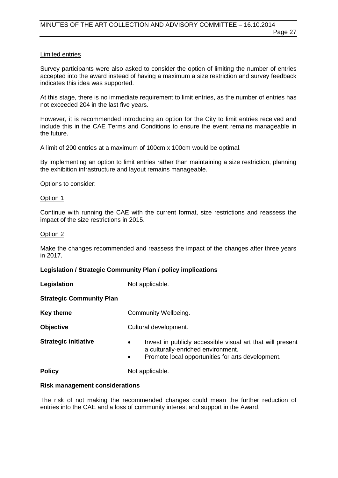#### Limited entries

Survey participants were also asked to consider the option of limiting the number of entries accepted into the award instead of having a maximum a size restriction and survey feedback indicates this idea was supported.

At this stage, there is no immediate requirement to limit entries, as the number of entries has not exceeded 204 in the last five years.

However, it is recommended introducing an option for the City to limit entries received and include this in the CAE Terms and Conditions to ensure the event remains manageable in the future.

A limit of 200 entries at a maximum of 100cm x 100cm would be optimal.

By implementing an option to limit entries rather than maintaining a size restriction, planning the exhibition infrastructure and layout remains manageable.

Options to consider:

#### Option 1

Continue with running the CAE with the current format, size restrictions and reassess the impact of the size restrictions in 2015.

#### Option 2

Make the changes recommended and reassess the impact of the changes after three years in 2017.

#### **Legislation / Strategic Community Plan / policy implications**

**Legislation** Not applicable.

#### **Strategic Community Plan**

| <b>Key theme</b>            | Community Wellbeing.                                                                                                                                                            |
|-----------------------------|---------------------------------------------------------------------------------------------------------------------------------------------------------------------------------|
| <b>Objective</b>            | Cultural development.                                                                                                                                                           |
| <b>Strategic initiative</b> | Invest in publicly accessible visual art that will present<br>$\bullet$<br>a culturally-enriched environment.<br>Promote local opportunities for arts development.<br>$\bullet$ |
| <b>Policy</b>               | Not applicable.                                                                                                                                                                 |

#### **Risk management considerations**

The risk of not making the recommended changes could mean the further reduction of entries into the CAE and a loss of community interest and support in the Award.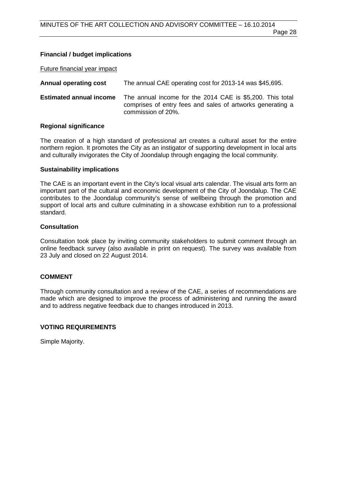#### **Financial / budget implications**

Future financial year impact

**Annual operating cost** The annual CAE operating cost for 2013-14 was \$45,695.

**Estimated annual income** The annual income for the 2014 CAE is \$5,200. This total comprises of entry fees and sales of artworks generating a commission of 20%.

#### **Regional significance**

The creation of a high standard of professional art creates a cultural asset for the entire northern region. It promotes the City as an instigator of supporting development in local arts and culturally invigorates the City of Joondalup through engaging the local community.

#### **Sustainability implications**

The CAE is an important event in the City's local visual arts calendar. The visual arts form an important part of the cultural and economic development of the City of Joondalup. The CAE contributes to the Joondalup community's sense of wellbeing through the promotion and support of local arts and culture culminating in a showcase exhibition run to a professional standard.

#### **Consultation**

Consultation took place by inviting community stakeholders to submit comment through an online feedback survey (also available in print on request). The survey was available from 23 July and closed on 22 August 2014.

#### **COMMENT**

Through community consultation and a review of the CAE, a series of recommendations are made which are designed to improve the process of administering and running the award and to address negative feedback due to changes introduced in 2013.

#### **VOTING REQUIREMENTS**

Simple Majority.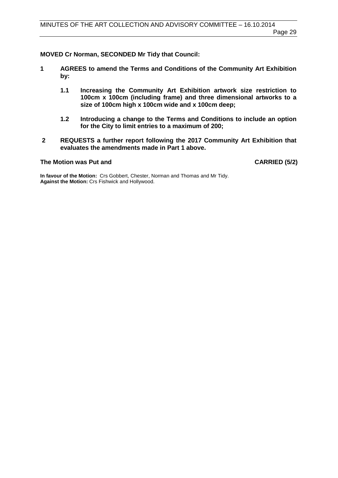**MOVED Cr Norman, SECONDED Mr Tidy that Council:**

- **1 AGREES to amend the Terms and Conditions of the Community Art Exhibition by:**
	- **1.1 Increasing the Community Art Exhibition artwork size restriction to 100cm x 100cm (including frame) and three dimensional artworks to a size of 100cm high x 100cm wide and x 100cm deep;**
	- **1.2 Introducing a change to the Terms and Conditions to include an option for the City to limit entries to a maximum of 200;**
- **2 REQUESTS a further report following the 2017 Community Art Exhibition that evaluates the amendments made in Part 1 above.**

## **The Motion was Put and CARRIED (5/2)**

**In favour of the Motion:** Crs Gobbert, Chester, Norman and Thomas and Mr Tidy. **Against the Motion:** Crs Fishwick and Hollywood.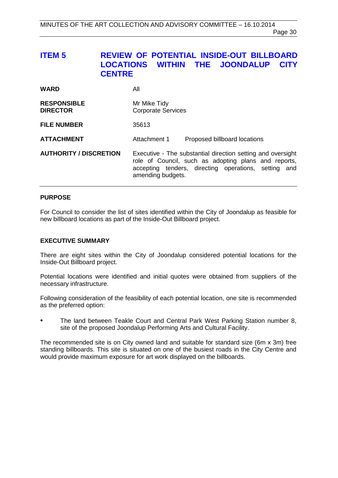# <span id="page-29-0"></span>**ITEM 5 REVIEW OF POTENTIAL INSIDE-OUT BILLBOARD LOCATIONS WITHIN THE JOONDALUP CITY CENTRE**

| <b>WARD</b>                           | All                                                                                                                                                                                                 |
|---------------------------------------|-----------------------------------------------------------------------------------------------------------------------------------------------------------------------------------------------------|
| <b>RESPONSIBLE</b><br><b>DIRECTOR</b> | Mr Mike Tidy<br><b>Corporate Services</b>                                                                                                                                                           |
| <b>FILE NUMBER</b>                    | 35613                                                                                                                                                                                               |
| <b>ATTACHMENT</b>                     | Attachment 1<br>Proposed billboard locations                                                                                                                                                        |
| <b>AUTHORITY / DISCRETION</b>         | Executive - The substantial direction setting and oversight<br>role of Council, such as adopting plans and reports,<br>accepting tenders, directing operations, setting<br>and<br>amending budgets. |

#### **PURPOSE**

For Council to consider the list of sites identified within the City of Joondalup as feasible for new billboard locations as part of the Inside-Out Billboard project.

#### **EXECUTIVE SUMMARY**

There are eight sites within the City of Joondalup considered potential locations for the Inside-Out Billboard project.

Potential locations were identified and initial quotes were obtained from suppliers of the necessary infrastructure.

Following consideration of the feasibility of each potential location, one site is recommended as the preferred option:

• The land between Teakle Court and Central Park West Parking Station number 8, site of the proposed Joondalup Performing Arts and Cultural Facility.

The recommended site is on City owned land and suitable for standard size (6m x 3m) free standing billboards. This site is situated on one of the busiest roads in the City Centre and would provide maximum exposure for art work displayed on the billboards.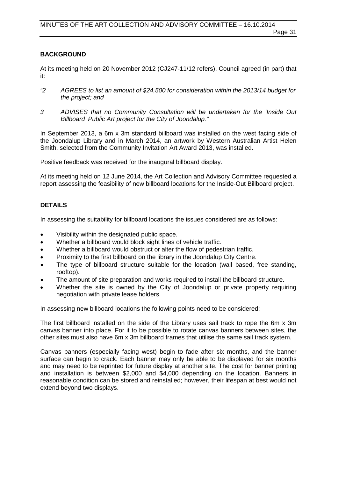#### **BACKGROUND**

At its meeting held on 20 November 2012 (CJ247-11/12 refers), Council agreed (in part) that it:

- *"2 AGREES to list an amount of \$24,500 for consideration within the 2013/14 budget for the project; and*
- *3 ADVISES that no Community Consultation will be undertaken for the 'Inside Out Billboard' Public Art project for the City of Joondalup."*

In September 2013, a 6m x 3m standard billboard was installed on the west facing side of the Joondalup Library and in March 2014, an artwork by Western Australian Artist Helen Smith, selected from the Community Invitation Art Award 2013, was installed.

Positive feedback was received for the inaugural billboard display.

At its meeting held on 12 June 2014, the Art Collection and Advisory Committee requested a report assessing the feasibility of new billboard locations for the Inside-Out Billboard project.

#### **DETAILS**

In assessing the suitability for billboard locations the issues considered are as follows:

- Visibility within the designated public space.
- Whether a billboard would block sight lines of vehicle traffic.
- Whether a billboard would obstruct or alter the flow of pedestrian traffic.
- Proximity to the first billboard on the library in the Joondalup City Centre.
- The type of billboard structure suitable for the location (wall based, free standing, rooftop).
- The amount of site preparation and works required to install the billboard structure.
- Whether the site is owned by the City of Joondalup or private property requiring negotiation with private lease holders.

In assessing new billboard locations the following points need to be considered:

The first billboard installed on the side of the Library uses sail track to rope the 6m x 3m canvas banner into place. For it to be possible to rotate canvas banners between sites, the other sites must also have 6m x 3m billboard frames that utilise the same sail track system.

Canvas banners (especially facing west) begin to fade after six months, and the banner surface can begin to crack. Each banner may only be able to be displayed for six months and may need to be reprinted for future display at another site. The cost for banner printing and installation is between \$2,000 and \$4,000 depending on the location. Banners in reasonable condition can be stored and reinstalled; however, their lifespan at best would not extend beyond two displays.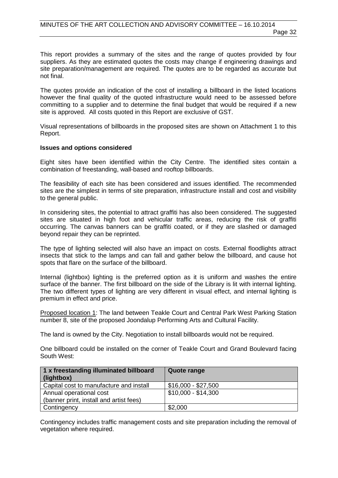This report provides a summary of the sites and the range of quotes provided by four suppliers. As they are estimated quotes the costs may change if engineering drawings and site preparation/management are required. The quotes are to be regarded as accurate but not final.

The quotes provide an indication of the cost of installing a billboard in the listed locations however the final quality of the quoted infrastructure would need to be assessed before committing to a supplier and to determine the final budget that would be required if a new site is approved. All costs quoted in this Report are exclusive of GST.

Visual representations of billboards in the proposed sites are shown on Attachment 1 to this Report.

#### **Issues and options considered**

Eight sites have been identified within the City Centre. The identified sites contain a combination of freestanding, wall-based and rooftop billboards.

The feasibility of each site has been considered and issues identified. The recommended sites are the simplest in terms of site preparation, infrastructure install and cost and visibility to the general public.

In considering sites, the potential to attract graffiti has also been considered. The suggested sites are situated in high foot and vehicular traffic areas, reducing the risk of graffiti occurring. The canvas banners can be graffiti coated, or if they are slashed or damaged beyond repair they can be reprinted.

The type of lighting selected will also have an impact on costs. External floodlights attract insects that stick to the lamps and can fall and gather below the billboard, and cause hot spots that flare on the surface of the billboard.

Internal (lightbox) lighting is the preferred option as it is uniform and washes the entire surface of the banner. The first billboard on the side of the Library is lit with internal lighting. The two different types of lighting are very different in visual effect, and internal lighting is premium in effect and price.

Proposed location 1: The land between Teakle Court and Central Park West Parking Station number 8, site of the proposed Joondalup Performing Arts and Cultural Facility.

The land is owned by the City. Negotiation to install billboards would not be required.

One billboard could be installed on the corner of Teakle Court and Grand Boulevard facing South West:

| 1 x freestanding illuminated billboard<br>(lightbox) | Quote range         |
|------------------------------------------------------|---------------------|
| Capital cost to manufacture and install              | \$16,000 - \$27,500 |
| Annual operational cost                              | \$10,000 - \$14,300 |
| (banner print, install and artist fees)              |                     |
| Contingency                                          | \$2,000             |

Contingency includes traffic management costs and site preparation including the removal of vegetation where required.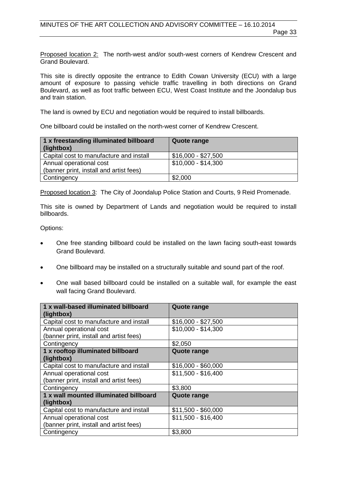Proposed location 2: The north-west and/or south-west corners of Kendrew Crescent and Grand Boulevard.

This site is directly opposite the entrance to Edith Cowan University (ECU) with a large amount of exposure to passing vehicle traffic travelling in both directions on Grand Boulevard, as well as foot traffic between ECU, West Coast Institute and the Joondalup bus and train station.

The land is owned by ECU and negotiation would be required to install billboards.

One billboard could be installed on the north-west corner of Kendrew Crescent.

| 1 x freestanding illuminated billboard<br>(lightbox) | Quote range         |
|------------------------------------------------------|---------------------|
| Capital cost to manufacture and install              | $$16,000 - $27,500$ |
| Annual operational cost                              | \$10,000 - \$14,300 |
| (banner print, install and artist fees)              |                     |
| Contingency                                          | \$2,000             |

Proposed location 3: The City of Joondalup Police Station and Courts, 9 Reid Promenade.

This site is owned by Department of Lands and negotiation would be required to install billboards.

Options:

- One free standing billboard could be installed on the lawn facing south-east towards Grand Boulevard.
- One billboard may be installed on a structurally suitable and sound part of the roof.
- One wall based billboard could be installed on a suitable wall, for example the east wall facing Grand Boulevard.

| 1 x wall-based illuminated billboard    | <b>Quote range</b>  |
|-----------------------------------------|---------------------|
| (lightbox)                              |                     |
| Capital cost to manufacture and install | $$16,000 - $27,500$ |
| Annual operational cost                 | $$10,000 - $14,300$ |
| (banner print, install and artist fees) |                     |
| Contingency                             | \$2,050             |
| 1 x rooftop illuminated billboard       | <b>Quote range</b>  |
| (lightbox)                              |                     |
| Capital cost to manufacture and install | $$16,000 - $60,000$ |
| Annual operational cost                 | $$11,500 - $16,400$ |
| (banner print, install and artist fees) |                     |
| Contingency                             | \$3,800             |
| 1 x wall mounted illuminated billboard  | <b>Quote range</b>  |
| (lightbox)                              |                     |
| Capital cost to manufacture and install | $$11,500 - $60,000$ |
| Annual operational cost                 | $$11,500 - $16,400$ |
| (banner print, install and artist fees) |                     |
| Contingency                             | \$3,800             |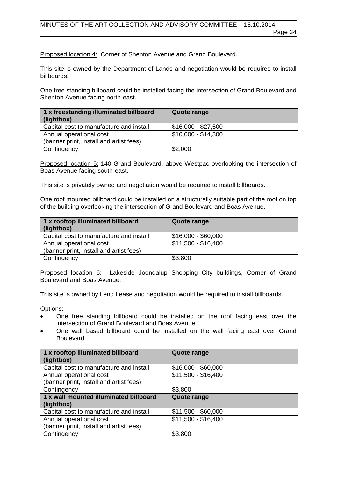Proposed location 4: Corner of Shenton Avenue and Grand Boulevard.

This site is owned by the Department of Lands and negotiation would be required to install billboards.

One free standing billboard could be installed facing the intersection of Grand Boulevard and Shenton Avenue facing north-east.

| 1 x freestanding illuminated billboard<br>(lightbox) | Quote range         |
|------------------------------------------------------|---------------------|
| Capital cost to manufacture and install              | \$16,000 - \$27,500 |
| Annual operational cost                              | \$10,000 - \$14,300 |
| (banner print, install and artist fees)              |                     |
| Contingency                                          | \$2,000             |

Proposed location 5: 140 Grand Boulevard, above Westpac overlooking the intersection of Boas Avenue facing south-east.

This site is privately owned and negotiation would be required to install billboards.

One roof mounted billboard could be installed on a structurally suitable part of the roof on top of the building overlooking the intersection of Grand Boulevard and Boas Avenue.

| 1 x rooftop illuminated billboard<br>(lightbox) | Quote range         |
|-------------------------------------------------|---------------------|
| Capital cost to manufacture and install         | $$16,000 - $60,000$ |
| Annual operational cost                         | \$11,500 - \$16,400 |
| (banner print, install and artist fees)         |                     |
| Contingency                                     | \$3,800             |

Proposed location 6: Lakeside Joondalup Shopping City buildings, Corner of Grand Boulevard and Boas Avenue.

This site is owned by Lend Lease and negotiation would be required to install billboards.

Options:

- One free standing billboard could be installed on the roof facing east over the intersection of Grand Boulevard and Boas Avenue.
- One wall based billboard could be installed on the wall facing east over Grand Boulevard.

| 1 x rooftop illuminated billboard<br>(lightbox) | <b>Quote range</b>  |
|-------------------------------------------------|---------------------|
| Capital cost to manufacture and install         | $$16,000 - $60,000$ |
| Annual operational cost                         | $$11,500 - $16,400$ |
| (banner print, install and artist fees)         |                     |
| Contingency                                     | \$3,800             |
|                                                 |                     |
| 1 x wall mounted illuminated billboard          | <b>Quote range</b>  |
| (lightbox)                                      |                     |
| Capital cost to manufacture and install         | $$11,500 - $60,000$ |
| Annual operational cost                         | \$11,500 - \$16,400 |
| (banner print, install and artist fees)         |                     |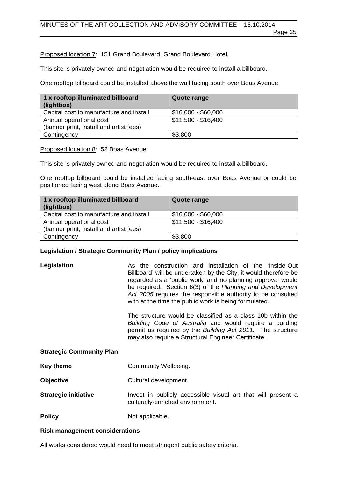Page 35

Proposed location 7: 151 Grand Boulevard, Grand Boulevard Hotel.

This site is privately owned and negotiation would be required to install a billboard.

One rooftop billboard could be installed above the wall facing south over Boas Avenue.

| 1 x rooftop illuminated billboard<br>(lightbox) | Quote range         |
|-------------------------------------------------|---------------------|
| Capital cost to manufacture and install         | $$16,000 - $60,000$ |
| Annual operational cost                         | \$11,500 - \$16,400 |
| (banner print, install and artist fees)         |                     |
| Contingency                                     | \$3,800             |

Proposed location 8: 52 Boas Avenue.

This site is privately owned and negotiation would be required to install a billboard.

One rooftop billboard could be installed facing south-east over Boas Avenue or could be positioned facing west along Boas Avenue.

| 1 x rooftop illuminated billboard<br>(lightbox) | Quote range         |
|-------------------------------------------------|---------------------|
| Capital cost to manufacture and install         | $$16,000 - $60,000$ |
| Annual operational cost                         | \$11,500 - \$16,400 |
| (banner print, install and artist fees)         |                     |
| Contingency                                     | \$3,800             |

#### **Legislation / Strategic Community Plan / policy implications**

**Legislation As the construction and installation of the 'Inside-Out'** Billboard' will be undertaken by the City, it would therefore be regarded as a 'public work' and no planning approval would be required. Section 6(3) of the *Planning and Development Act 2005* requires the responsible authority to be consulted with at the time the public work is being formulated.

> The structure would be classified as a class 10b within the *Building Code of Australia* and would require a building permit as required by the *Building Act 2011.* The structure may also require a Structural Engineer Certificate.

#### **Strategic Community Plan**

- **Key theme Community Wellbeing.**
- **Objective** Cultural development.
- **Strategic initiative** Invest in publicly accessible visual art that will present a culturally-enriched environment.
- **Policy** Not applicable.

#### **Risk management considerations**

All works considered would need to meet stringent public safety criteria.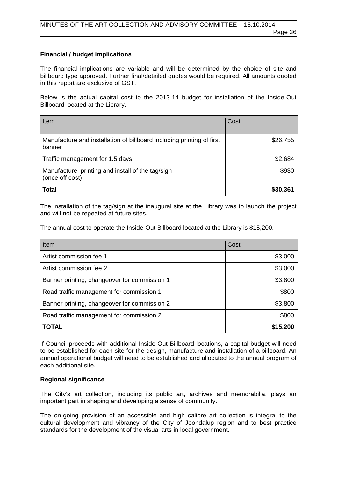#### **Financial / budget implications**

The financial implications are variable and will be determined by the choice of site and billboard type approved. Further final/detailed quotes would be required. All amounts quoted in this report are exclusive of GST.

Below is the actual capital cost to the 2013-14 budget for installation of the Inside-Out Billboard located at the Library.

| Item                                                                            | Cost     |
|---------------------------------------------------------------------------------|----------|
| Manufacture and installation of billboard including printing of first<br>banner | \$26,755 |
| Traffic management for 1.5 days                                                 | \$2,684  |
| Manufacture, printing and install of the tag/sign<br>(once off cost)            | \$930    |
| <b>Total</b>                                                                    | \$30,361 |

The installation of the tag/sign at the inaugural site at the Library was to launch the project and will not be repeated at future sites.

The annual cost to operate the Inside-Out Billboard located at the Library is \$15,200.

| Item                                         | Cost     |
|----------------------------------------------|----------|
| Artist commission fee 1                      | \$3,000  |
| Artist commission fee 2                      | \$3,000  |
| Banner printing, changeover for commission 1 | \$3,800  |
| Road traffic management for commission 1     | \$800    |
| Banner printing, changeover for commission 2 | \$3,800  |
| Road traffic management for commission 2     | \$800    |
| <b>TOTAL</b>                                 | \$15,200 |

If Council proceeds with additional Inside-Out Billboard locations, a capital budget will need to be established for each site for the design, manufacture and installation of a billboard. An annual operational budget will need to be established and allocated to the annual program of each additional site.

#### **Regional significance**

The City's art collection, including its public art, archives and memorabilia, plays an important part in shaping and developing a sense of community.

The on-going provision of an accessible and high calibre art collection is integral to the cultural development and vibrancy of the City of Joondalup region and to best practice standards for the development of the visual arts in local government.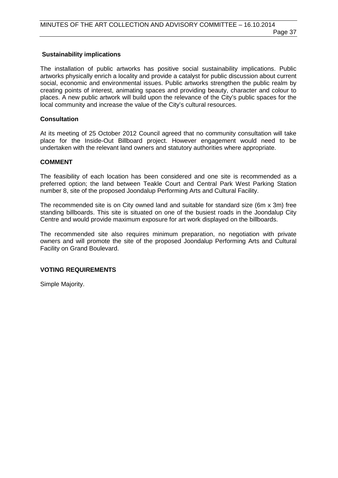#### **Sustainability implications**

The installation of public artworks has positive social sustainability implications. Public artworks physically enrich a locality and provide a catalyst for public discussion about current social, economic and environmental issues. Public artworks strengthen the public realm by creating points of interest, animating spaces and providing beauty, character and colour to places. A new public artwork will build upon the relevance of the City's public spaces for the local community and increase the value of the City's cultural resources.

#### **Consultation**

At its meeting of 25 October 2012 Council agreed that no community consultation will take place for the Inside-Out Billboard project. However engagement would need to be undertaken with the relevant land owners and statutory authorities where appropriate.

#### **COMMENT**

The feasibility of each location has been considered and one site is recommended as a preferred option; the land between Teakle Court and Central Park West Parking Station number 8, site of the proposed Joondalup Performing Arts and Cultural Facility.

The recommended site is on City owned land and suitable for standard size (6m x 3m) free standing billboards. This site is situated on one of the busiest roads in the Joondalup City Centre and would provide maximum exposure for art work displayed on the billboards.

The recommended site also requires minimum preparation, no negotiation with private owners and will promote the site of the proposed Joondalup Performing Arts and Cultural Facility on Grand Boulevard.

#### **VOTING REQUIREMENTS**

Simple Majority.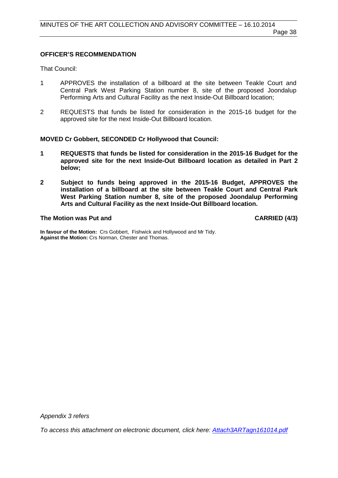#### **OFFICER'S RECOMMENDATION**

That Council:

- 1 APPROVES the installation of a billboard at the site between Teakle Court and Central Park West Parking Station number 8, site of the proposed Joondalup Performing Arts and Cultural Facility as the next Inside-Out Billboard location;
- 2 REQUESTS that funds be listed for consideration in the 2015-16 budget for the approved site for the next Inside-Out Billboard location.

#### **MOVED Cr Gobbert, SECONDED Cr Hollywood that Council:**

- **1 REQUESTS that funds be listed for consideration in the 2015-16 Budget for the approved site for the next Inside-Out Billboard location as detailed in Part 2 below;**
- **2 Subject to funds being approved in the 2015-16 Budget, APPROVES the installation of a billboard at the site between Teakle Court and Central Park West Parking Station number 8, site of the proposed Joondalup Performing Arts and Cultural Facility as the next Inside-Out Billboard location.**

#### **The Motion was Put and CARRIED (4/3)**

**In favour of the Motion:** Crs Gobbert, Fishwick and Hollywood and Mr Tidy. **Against the Motion:** Crs Norman, Chester and Thomas.

*Appendix 3 refers*

<span id="page-37-0"></span>*[To access this attachment on electronic document, click here: Attach3ARTagn161014.pdf](http://www.joondalup.wa.gov.au/files/committees/ACAC/2014/Attach3ARTagn161014.pdf)*